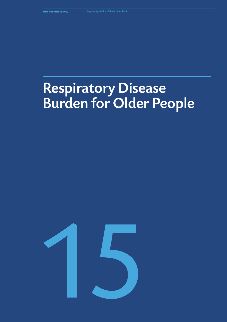# Respiratory Disease Burden for Older People

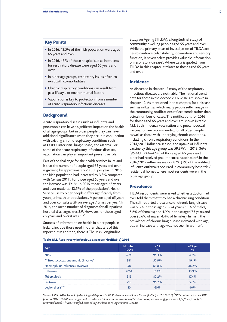## **Key Points**

- In 2016, 13.5% of the Irish population were aged 65 years and over
- In 2016, 43% of those hospitalised as inpatients for respiratory disease were aged 65 years and over
- In older age groups, respiratory issues often coexist with co-morbidities
- Chronic respiratory conditions can result from past lifestyle or environmental factors
- Vaccination is key to protection from a number of acute respiratory infectious diseases

# **Background**

Acute respiratory diseases such as influenza and pneumonia can have a significant impact on the health of all age groups, but in older people they can have additional significance when they occur in conjunction with existing chronic respiratory conditions such as COPD, interstitial lung disease, and asthma. For some of the acute respiratory infectious diseases, vaccination can play an important preventive role.

Part of the challenge for the health services in Ireland is that the number of people aged 65 years and over is growing by approximately 20,000 per year. In 2016, the Irish population had increased by 3.8% compared with Census 2011*<sup>1</sup>* . For those aged 65 years and over the increase was 19.1%. In 2016, those aged 65 years and over made-up 13.5% of the population*<sup>1</sup>* . Health Service use by older people differs significantly from younger healthier populations. A person aged 65 years and over consults a GP on average 7 times per year*<sup>2</sup>* . In 2016, the mean number of diagnoses for all inpatient hospital discharges was 3.9. However, for those aged 65 years and over it was 5.2*<sup>3</sup>* .

Sources of information on health in older people in Ireland include those used in other chapters of this report but in addition, there is The Irish Longitudinal Study on Ageing (TILDA), a longitudinal study of community dwelling people aged 55 years and over. While the primary areas of investigation of TILDA are neuro-cardiovascular stability, locomotion and sensory function, it nevertheless provides valuable information on respiratory disease*<sup>4</sup>* . Where data is quoted from TILDA in this chapter, it relates to those aged 65 years and over.

# **Incidence**

As discussed in chapter 12 many of the respiratory infectious diseases are notifiable. The national trend data for these in the decade 2007-2016 are shown in chapter 12. As mentioned in that chapter, for a disease such as influenza, which many people self-manage in the community, notifications reflect trends rather than actual numbers of cases. The notifications for 2016 for those aged 65 years and over are shown in table 15.1. Both influenza vaccination and pneumococcal vaccination are recommended for all older people as well as those with underlying chronic conditions, including chronic respiratory conditions. In the 2014/2015 influenza season, the uptake of influenza vaccine by this age group was 59.8%*<sup>5</sup>* . In 2013, 36% [95%CI: 30%–42%] of those aged 65 years and older had received pneumococcal vaccination*<sup>6</sup>* .In the 2016/2017 influenza season, 87% (79) of the notified influenza outbreaks occurred in community hospitals/ residential homes where most residents were in the older age group.

# **Prevalence**

TILDA respondents were asked whether a doctor had ever told them that they had a chronic lung condition. The self-reported prevalence of chronic lung disease was 5.3% in those aged 65-74 years (5.1% of males, 5.6% of females) and 4.9% in those aged 75 years and over (5.6% of males, 4.4% of females). In men, the prevalence of chronic lung disease increased with age, but an increase with age was not seen in women*<sup>4</sup>* .

**Table 15.1. Respiratory infectious diseases (Notifiable) 2016** 

| Age                                  | <b>Number</b><br>100% | <65<br>$\frac{9}{6}$ | $\ge 65$ yrs<br>$\frac{O}{O}$ |
|--------------------------------------|-----------------------|----------------------|-------------------------------|
| *RSV                                 | 2690                  | 95.3%                | 4.7%                          |
| **Streptococcus pneumonia (invasive) | 381                   | 50.9%                | 49.1%                         |
| Haemophilus Influenza (Invasive)     | 58                    | 63.8%                | 36.2%                         |
| Influenza                            | 4764                  | 81.1%                | 18.9%                         |
| <b>Tuberculosis</b>                  | 315                   | 82.2%                | 17.4%                         |
| Pertussis                            | 213                   | 96.7%                | 5.6%                          |
| Legionellosis***                     | 10                    | 60%                  | 40%                           |

*Source: HPSC 2016 Annual Epidemiological Report. Health Protection Surveillance Centre (HPSC). HPSC (2017) 7 \*RSV not recorded on CIDR prior to 2012 \*\*EARSS pathogens not recorded on CIDR with the exception of Streptococcus pneumonia (figures since 1/7/15 refer only to confirmed cases). \*\*\*Most notified cases of Legionellosis have Legionnaires' Disease*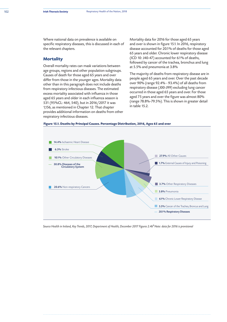Where national data on prevalence is available on specific respiratory diseases, this is discussed in each of the relevant chapters.

## **Mortality**

Overall mortality rates can mask variations between age groups, regions and other population subgroups. Causes of death for those aged 65 years and over differ from those in the younger ages. Mortality data other than in this paragraph does not include deaths from respiratory infectious diseases. The estimated excess mortality associated with influenza in those aged 65 years and older in each influenza season is 531 (95%CL: 464, 540), but in 2016/2017 it was 1,156, as mentioned in Chapter 12. That chapter provides additional information on deaths from other respiratory infectious diseases.

Mortality data for 2016 for those aged 65 years and over is shown in figure 15.1. In 2016, respiratory disease accounted for 20.1% of deaths for those aged 65 years and older. Chronic lower respiratory disease (ICD 10: J40-47) accounted for 6.1% of deaths, followed by cancer of the trachea, bronchus and lung at 5.5% and pneumonia at 3.8%

The majority of deaths from respiratory disease are in people aged 65 years and over. Over the past decade over 90% (range 92.4% - 93.4%) of all deaths from respiratory disease (J00-J99) excluding lung cancer occurred in those aged 65 years and over. For those aged 75 years and over the figure was almost 80% (range 78.8%-79.5%). This is shown in greater detail in table 15.2.





Source Health in Ireland, Key Trends, 2017, Department of Health, December 2017 Figures 2.4b<sup>8</sup> Note: data for 2016 is provisional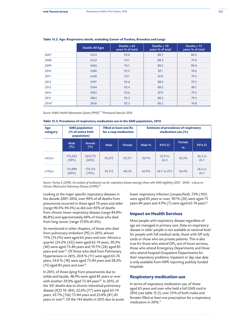|         | Deaths All Ages | Deaths $\geq 65$<br>years % of total | Deaths $\geq 70$<br>years % of total | Deaths $\geq$ 75<br>years % of total |
|---------|-----------------|--------------------------------------|--------------------------------------|--------------------------------------|
| 2007    | 3324            | 93.0                                 | 88.7                                 | 80.4                                 |
| 2008    | 3522            | 93.1                                 | 88.3                                 | 79.0                                 |
| 2009    | 3606            | 93.1                                 | 88.2                                 | 80.0                                 |
| 2010    | 3280            | 92.5                                 | 87.1                                 | 78.6                                 |
| 2011    | 3438            | 93.1                                 | 87.8                                 | 79.3                                 |
| 2012    | 3497            | 93.6                                 | 88.0                                 | 79.3                                 |
| 2013    | 3504            | 93.4                                 | 88.2                                 | 80.1                                 |
| 2014    | 3492            | 93.6                                 | 87.9                                 | 79.5                                 |
| 2015    | 3865            | 93.3                                 | 88.2                                 | 79.4                                 |
| $2016*$ | 3856            | 92.3                                 | 86.2                                 | 76.8                                 |

## **Table 15.2. Age: Respiratory death, excluding Cancer of Trachea, Bronchus and Lungs**

*Source: Public Health Information System (PHIS) 9 \*Provisional data for 2016*

| Table 15.3. Prevalence of respiratory medication use in the GMS population, 2016 |  |  |  |
|----------------------------------------------------------------------------------|--|--|--|
|----------------------------------------------------------------------------------|--|--|--|

| Age<br>category | <b>GMS population</b><br>(% of entire Irish<br>population) |                  | <b>Filled at least one Rx</b><br>for a resp medication |        | <b>Estimate of prevalence of respiratory</b><br>medication use (%) |                 |                         |                   |
|-----------------|------------------------------------------------------------|------------------|--------------------------------------------------------|--------|--------------------------------------------------------------------|-----------------|-------------------------|-------------------|
|                 | Male<br>(%)                                                | Female<br>(%)    | Male                                                   | Female | Male %                                                             | 95% CI          | Female<br>$\frac{O}{O}$ | 95% CI            |
| $\geq 65$ yrs   | 173,505<br>(58%)                                           | 224,773<br>(66%) | 45,272                                                 | 59,511 | 26.1%                                                              | 25.9 to<br>26.3 | 26.5%                   | $26.3$ to<br>26.7 |
| $\geq$ 70yrs    | 131,889<br>(69%)                                           | 174,516<br>(74%) | 35,512                                                 | 46,132 | 26.9%                                                              | 26.7 to 27.2    | 26.4%                   | $26.2$ to<br>26.7 |

*Source: Hurley, E (2018). An analysis of medication use for respiratory disease amongst those with GMS eligibility (2015 - 2016) - a focus on Chronic Obstructive Pulmonary Disease (COPD)11.*

Looking at the major specific respiratory diseases in the decade 2007-2016, over 90% of all deaths from pneumonia occurred in those aged 70 years and older (range 90.4%-94.4%) as did over 85% of deaths from chronic lower respiratory disease (range 84.8%- 86.8%) and approximately 60% of those who died from lung cancer (range 57.0%-61.4%).

As mentioned in other chapters, of those who died from pulmonary embolism (PE) in 2015, almost 75% (74.2%) were aged 65 years and over. Almost a quarter (24.2% (32)) were aged 65-74 years, 30.3% (40) were aged 75-84 years and 19.7% (26) aged 85 years and over*<sup>10</sup>*. Of those who died from Pulmonary Hypertension in 2015, 20.8 % (11) were aged 65-74 years, 34.0 % (18) were aged 75-84 years and 28.2% (15) aged 85 years and over*<sup>10</sup>*.

In 2015, of those dying from pneumonitis due to solids and liquids, 48.4% were aged 85 years or over with another 29.0% aged 75-84 years*<sup>10</sup>*. In 2015, of the 341 deaths due to chronic interstitial pulmonary disease (ICD 10: J84), 22.6% (77) were aged 65-74 years, 45.7% (156) 75-84 years and 23.8% (81) 85 years or over*<sup>10</sup>*. Of the 144 deaths in 2015 due to acute

lower respiratory infection (unspecified), 73% (105) were aged 85 years or over, 18.1% (26) were aged 75 years-84 years and 4.9% (7) were aged 65-74 years*<sup>10</sup>*.

# **Impact on Health Services**

Most people with respiratory disease regardless of age are managed in primary care. Data on respiratory disease in older people is not available at national level for people with full medical cards, those with GP only cards or those who are private patients. This is also true for those who attend GPs, out of hours services, those who attend Emergency Departments and those who attend hospital Outpatient Departments for their respiratory problems. Inpatient or day case data is only available from HIPE reporting publicly funded hospitals.

## **Respiratory medication use**

In terms of respiratory medication use, of those aged 65 years and over who held a full GMS card in 2016 (see table 15.3), over 25% of both males and females filled at least one prescription for a respiratory medication in 2016.*<sup>11</sup>*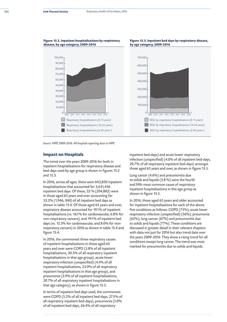#### **Figure 15.2. Inpatient hospitalisations by respiratory disease, by age category, 2009-2016**

## **Figure 15.3. Inpatient bed days by respiratory disease, by age category, 2009-2016**



*Source: HIPE 2009-2016. All hospitals reporting data to HIPE* 

## **Impact on Hospitals**

The trend over the years 2009-2016 for both in inpatient hospitalisations for respiratory disease and bed-days used by age group is shown in figures 15.2 and 15.3.

In 2016, across all ages, there were 643,850 inpatient hospitalisations that accounted for 3,651,436 inpatient bed days. Of these, 32 % (204,882) were in those aged 65 years and over accounting for 53.2% (1,946, 040) of all inpatient bed days as shown in table 15.4. Of those aged 65 years and over, respiratory disease accounted for 19.1% of inpatient hospitalisations (vs. 16.1% for cardiovascular, 6.8% for non-respiratory cancers), and 19.1% of inpatient bed days (vs. 15.3% for cardiovascular, and 8.0% for nonrespiratory cancers) in 2016 as shown in table 15.4 and figure 15.4.

In 2016, the commonest three respiratory causes of inpatient hospitalisations in those aged 65 years and over were COPD (5.8% of all inpatient hospitalisations, 30.5% of all respiratory inpatient hospitalisations in that age group), acute lower respiratory infection (unspecified) (4.4% of all inpatient hospitalisations, 23.0% of all respiratory inpatient hospitalisations in that age group), and pneumonia (3.9% of all inpatient hospitalisations, 20.7% of all respiratory inpatient hospitalisations in that age category), as shown in figure 15.5.

In terms of inpatient bed days used, the commonest were COPD (5.2% of all inpatient bed-days, 27.5% of all respiratory inpatient bed-days), pneumonia (5.0% of all inpatient bed-days, 26.4% of all respiratory

inpatient bed-days) and acute lower respiratory infection (unspecified) (4.0% of all inpatient bed-days, 20.7% of all respiratory inpatient bed-days) amongst those aged 65 years and over, as shown in figure 15.5.

Lung cancer (4.6%) and pneumonitis due to solids and liquids (3.8 %) were the fourth and fifth most common cause of respiratory inpatient hospitalisations in this age group as shown in figure 15.5.

In 2016, those aged 65 years and older accounted for inpatient hospitalisations for each of the above five conditions as follows: COPD (75%); acute lower respiratory infection (unspecified) (56%); pneumonia (62%), lung cancer (67%) and pneumonitis due to solids and liquids (77%). These conditions are discussed in greater detail in their relevant chapters with data not just for 2016 but also trend date over the years 2009-2016. They show a rising trend for all conditions except lung cancer. The trend was most marked for pneumonitis due to solids and liquids.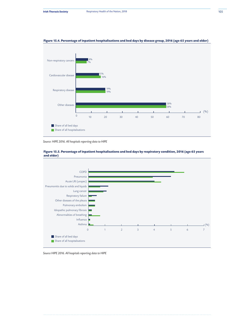

## **Figure 15.4. Percentage of inpatient hospitalisations and bed days by disease group, 2016 (age 65 years and older)**

*Source: HIPE 2016. All hospitals reporting data to HIPE*





*Source HIPE 2016. All hospitals reporting data to HIPE*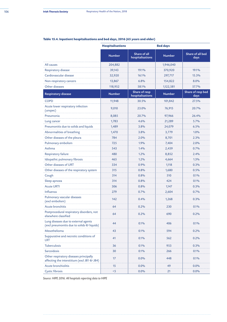|                                                                                       | <b>Hospitalisations</b> |                                   | <b>Bed days</b> |                           |
|---------------------------------------------------------------------------------------|-------------------------|-----------------------------------|-----------------|---------------------------|
|                                                                                       | <b>Number</b>           | Share of all<br>hospitalisations  | <b>Number</b>   | Share of all bed<br>days  |
| All causes                                                                            | 204,882                 |                                   | 1,946,040       |                           |
| Respiratory disease                                                                   | 39,143                  | 19.1%                             | 370,920         | 19.1%                     |
| Cardiovascular disease                                                                | 32,920                  | 16.1%                             | 297,717         | 15.3%                     |
| Non-respiratory cancers                                                               | 13,867                  | 6.8%                              | 154,822         | 8.0%                      |
| Other diseases                                                                        | 118,952                 | 58.1%                             | 1,122,581       | 57.7%                     |
| <b>Respiratory disease</b>                                                            | <b>Number</b>           | Share of resp<br>hospitalisations | <b>Number</b>   | Share of resp bed<br>days |
| <b>COPD</b>                                                                           | 11,948                  | 30.5%                             | 101,842         | 27.5%                     |
| Acute lower respiratory infection<br>(unspec)                                         | 9,010                   | 23.0%                             | 76,915          | 20.7%                     |
| Pneumonia                                                                             | 8,085                   | 20.7%                             | 97,966          | 26.4%                     |
| Lung cancer                                                                           | 1,783                   | 4.6%                              | 21,289          | 5.7%                      |
| Pneumonitis due to solids and liquids                                                 | 1,489                   | 3.8%                              | 24,079          | 6.5%                      |
| Abnormalities of breathing                                                            | 1,470                   | 3.8%                              | 3,779           | 1.0%                      |
| Other diseases of the pleura                                                          | 784                     | 2.0%                              | 8,701           | 2.3%                      |
| Pulmonary embolism                                                                    | 725                     | 1.9%                              | 7,404           | 2.0%                      |
| Asthma                                                                                | 543                     | 1.4%                              | 2,459           | 0.7%                      |
| Respiratory failure                                                                   | 480                     | 1.2%                              | 8,852           | 2.4%                      |
| Idiopathic pulmonary fibrosis                                                         | 465                     | 1.2%                              | 4,664           | 1.3%                      |
| Other diseases of URT                                                                 | 334                     | 0.9%                              | 1,118           | 0.3%                      |
| Other diseases of the respiratory system                                              | 315                     | 0.8%                              | 1,680           | 0.5%                      |
| Cough                                                                                 | 314                     | 0.8%                              | 510             | 0.1%                      |
| Sleep apnoea                                                                          | 314                     | 0.8%                              | 424             | 0.1%                      |
| <b>Acute URTI</b>                                                                     | 306                     | 0.8%                              | 1,147           | 0.3%                      |
| Influenza                                                                             | 279                     | 0.7%                              | 2,604           | 0.7%                      |
| Pulmonary vascular diseases<br>(excl embolism)                                        | 142                     | 0.4%                              | 1,268           | 0.3%                      |
| <b>Acute bronchitis</b>                                                               | 64                      | 0.2%                              | 230             | 0.1%                      |
| Postprocedural respiratory disorders, not<br>elsewhere classified                     | 64                      | 0.2%                              | 690             | 0.2%                      |
| Lung diseases due to external agents<br>(excl pneumonitis due to solids & liquids)    | 44                      | 0.1%                              | 406             | 0.1%                      |
| Mesothelioma                                                                          | 43                      | 0.1%                              | 594             | 0.2%                      |
| Suppurative and necrotic conditions of<br><b>LRT</b>                                  | 41                      | 0.1%                              | 562             | 0.2%                      |
| Tuberculosis                                                                          | 36                      | 0.1%                              | 953             | 0.3%                      |
| Sarcoidosis                                                                           | 30                      | 0.1%                              | 266             | 0.1%                      |
| Other respiratory diseases principally<br>affecting the interstitium (excl J81 & J84) | 17                      | 0.0%                              | 448             | 0.1%                      |
| Acute bronchiolitis                                                                   | 15                      | 0.0%                              | 49              | 0.0%                      |
| <b>Cystic fibrosis</b>                                                                | $5$                     | 0.0%                              | 21              | 0.0%                      |

# **Table 15.4. Inpatient hospitalisations and bed days, 2016 (65 years and older)**

*Source: HIPE 2016. All hospitals reporting data to HIPE*